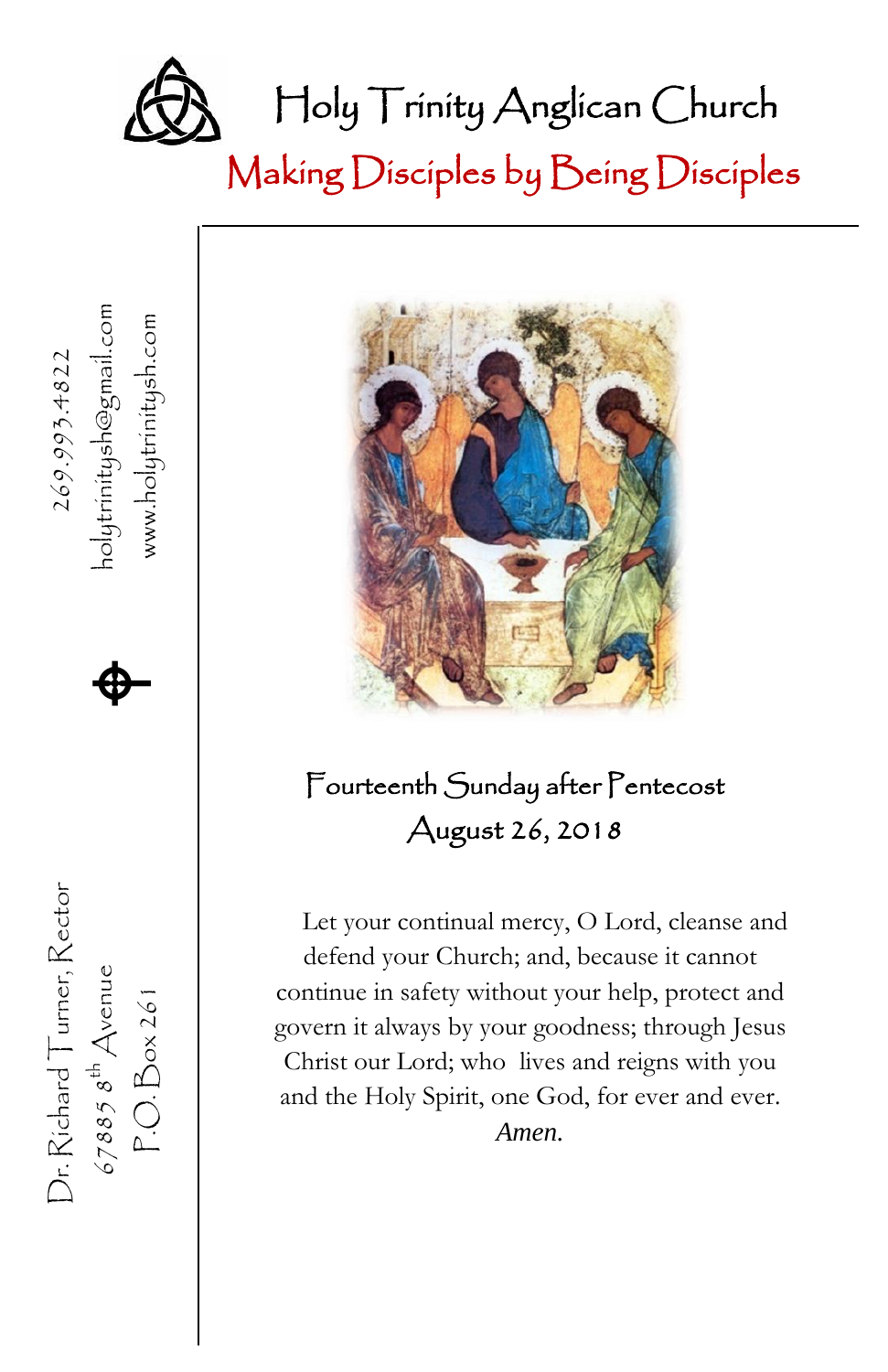

Making Disciples by Being Disciples



、

Dr. Richard Turner, Rector  $269.993.4822$ 

Dr. Richard Turner, Rector

 $678858^{\text{th}}$  Avenue<br>P.O. Box 261

67885  $s^{\text{th}}$  Avenue **A** 

 $\spadesuit$ 

holytrinitysh@gmail.com<br>www.holytrinitysh.com

P.O. Box 261 www.holytrinitysh.com

### Fourteenth Sunday after Pentecost August 26, 2018

Let your continual mercy, O Lord, cleanse and defend your Church; and, because it cannot continue in safety without your help, protect and govern it always by your goodness; through Jesus Christ our Lord; who lives and reigns with you and the Holy Spirit, one God, for ever and ever. *Amen.*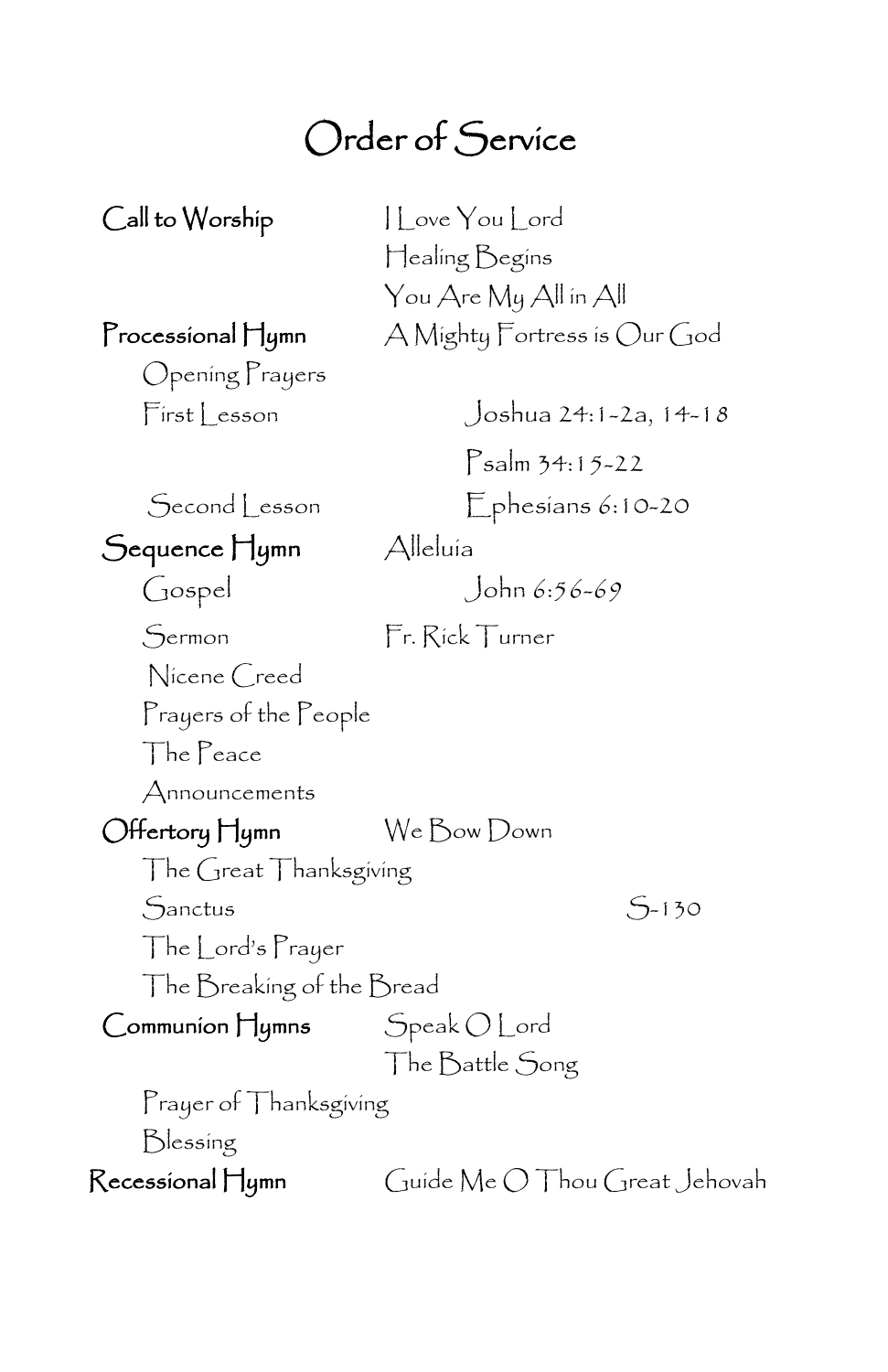## Order of Service

Call to Worship I Love You Lord Healing Begins You Are My All in All Processional Hymn A Mighty Fortress is Our God Opening Prayers  $First less on$  Joshua 24:1-2a, 14-18 Psalm 34:15-22 Second Lesson Ephesians 6:10-20 Sequence Hymn Alleluia Gospel John 6:56-69 Sermon Fr. Rick Turner Nicene Creed Prayers of the People The Peace Announcements Offertory Hymn We Bow Down The Great Thanksgiving Sanctus S-130 The Lord's Prayer The Breaking of the Bread Communion Hymns Speak O Lord The Battle Song Prayer of Thanksgiving Blessing Recessional Hymn Guide Me O Thou Great Jehovah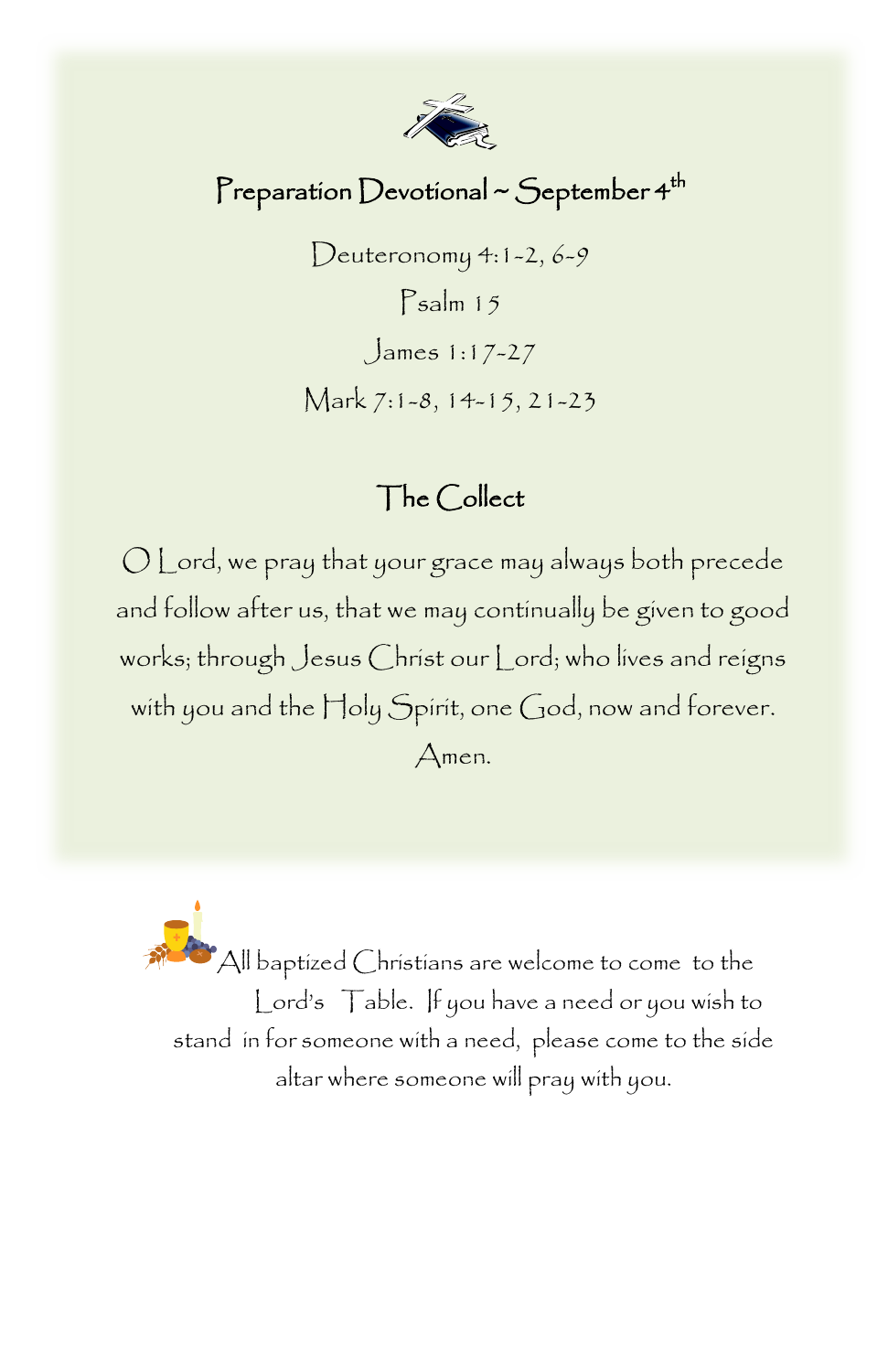

#### Preparation Devotional ~ September 4  $^{\rm th}$

Deuteronomy  $4:1-2, 6-9$ 

Psalm 15 James 1:17-27 Mark 7:1-8, 14-15, 21-23

#### The Collect

O Lord, we pray that your grace may always both precede and follow after us, that we may continually be given to good works; through Jesus Christ our Lord; who lives and reigns with you and the Holy Spirit, one God, now and forever. Amen.

All baptized Christians are welcome to come to the Lord's Table. If you have a need or you wish to stand in for someone with a need, please come to the side altar where someone will pray with you.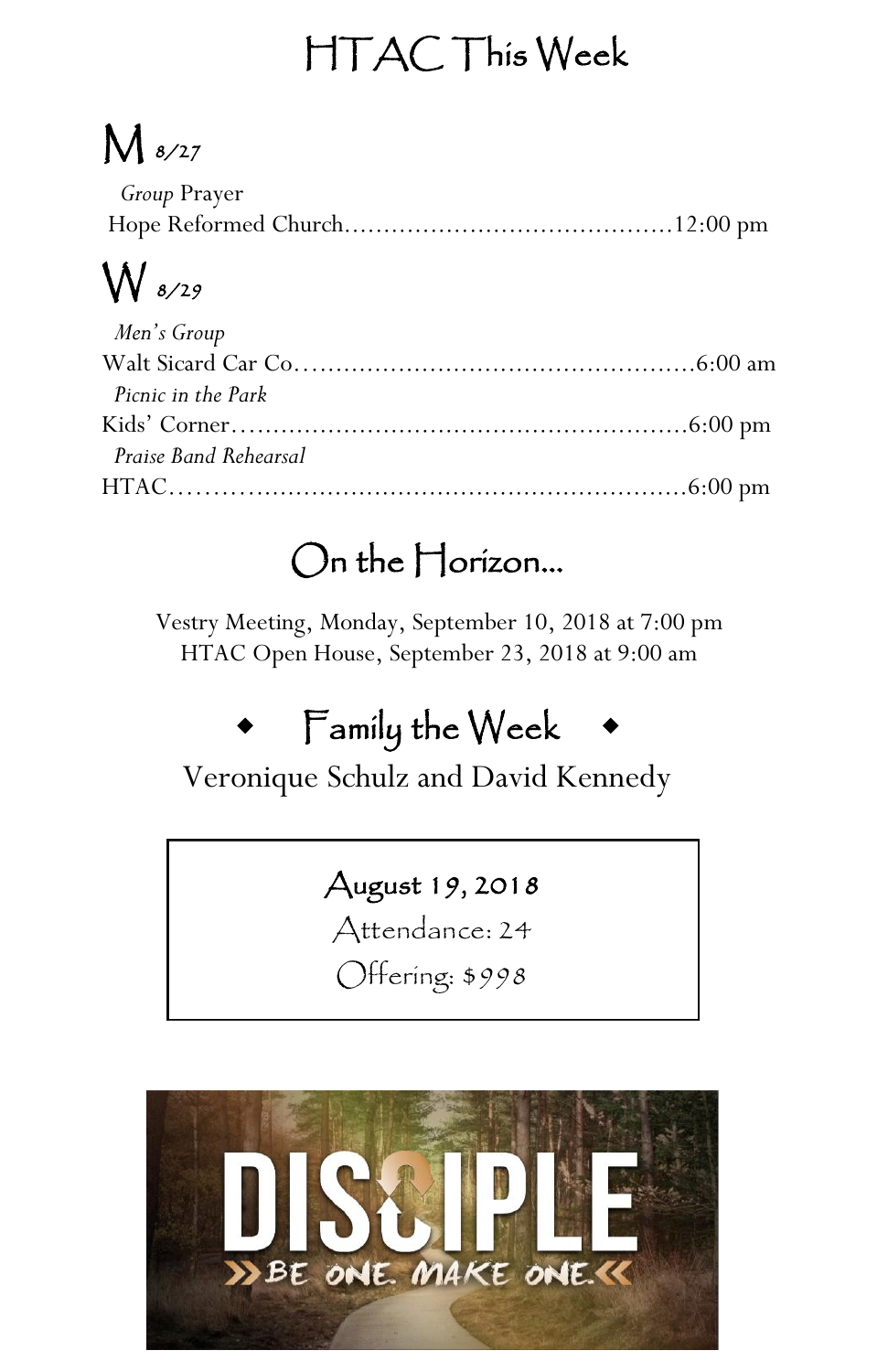## HTAC This Week

# $M$  8/27

| <i>Group</i> Prayer |  |
|---------------------|--|
|                     |  |

# W 8/29

| Men's Group           |  |
|-----------------------|--|
|                       |  |
| Picnic in the Park    |  |
|                       |  |
| Praise Band Rehearsal |  |
|                       |  |

## On the Horizon…

Vestry Meeting, Monday, September 10, 2018 at 7:00 pm HTAC Open House, September 23, 2018 at 9:00 am

# Family the Week

Veronique Schulz and David Kennedy

#### August 19, 2018

Attendance: 24

Offering: \$998

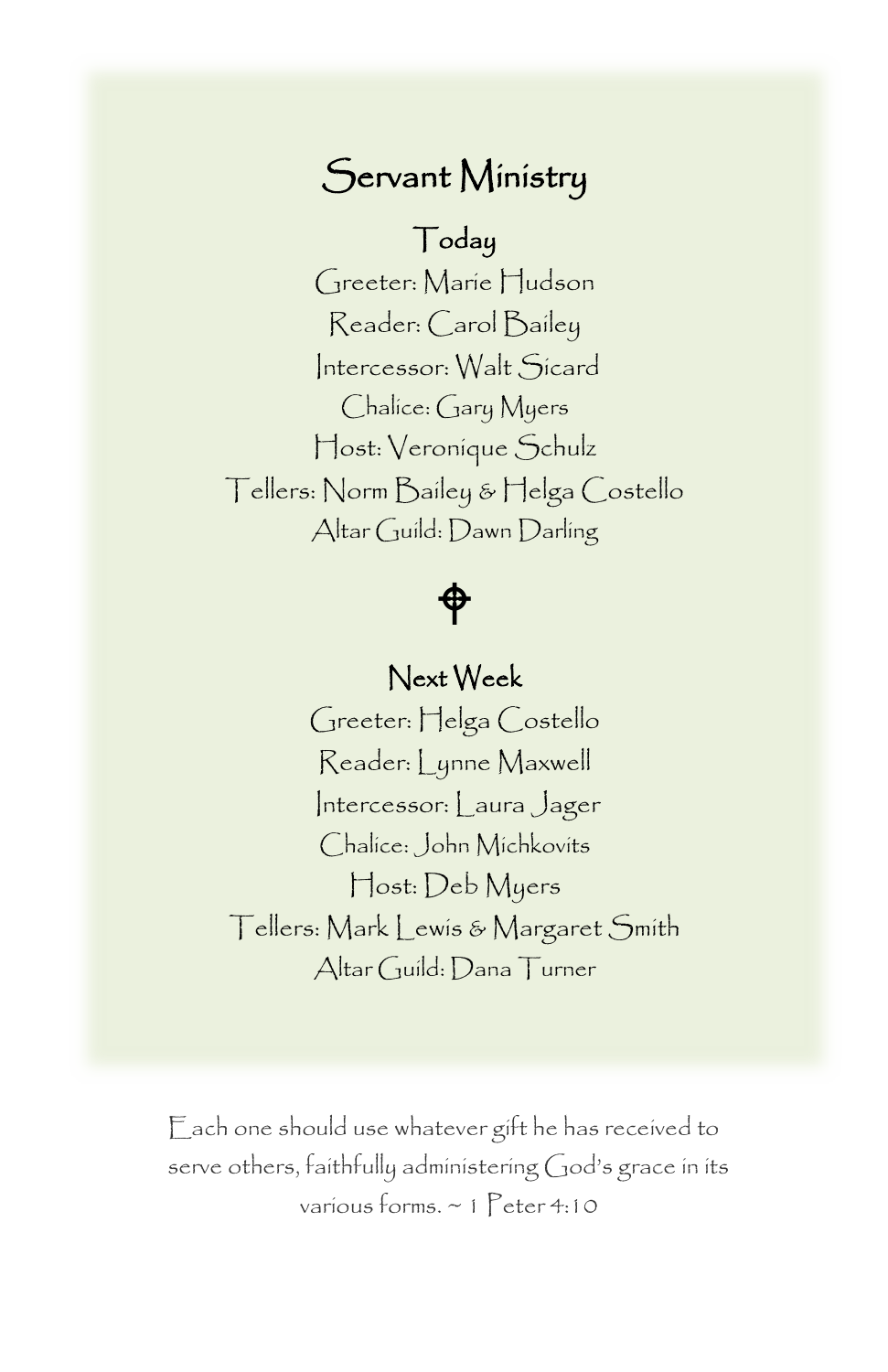## Servant Ministry

#### Today

 Greeter: Marie Hudson Intercessor: Walt Sicard Host: Veronique Schulz Altar Guild: Dawn Darling Reader: Carol Bailey Chalice: Gary Myers Tellers: Norm Bailey & Helga Costello

### ⊕

#### Next Week

 Greeter: Helga Costello Intercessor: Laura Jager Reader: Lynne Maxwell Chalice: John Michkovits Host: Deb Myers Tellers: Mark Lewis & Margaret Smith Altar Guild: Dana Turner

Each one should use whatever gift he has received to serve others, faithfully administering God's grace in its various forms. ~ 1 Peter 4:10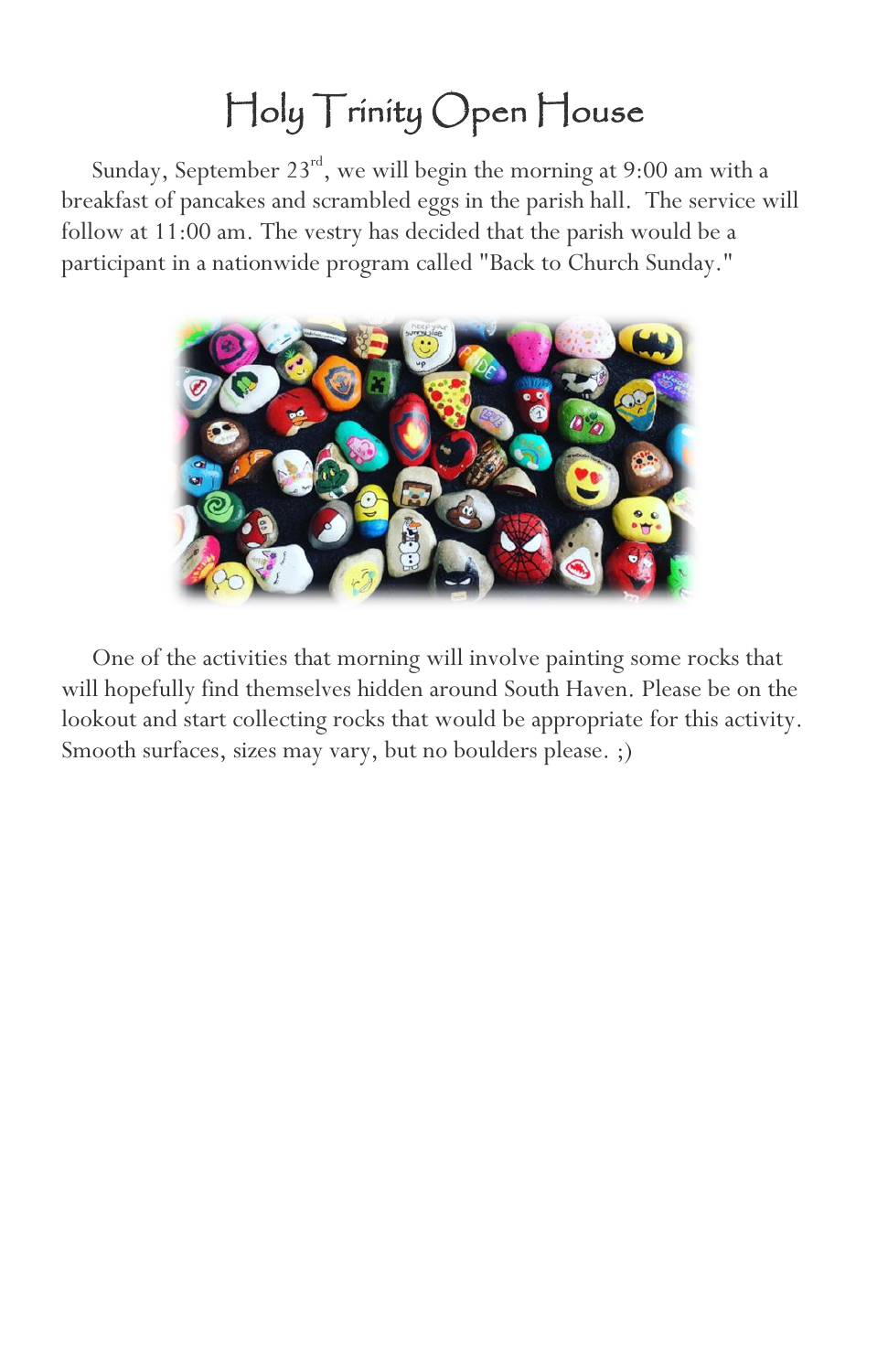## Holy Trinity Open House

Sunday, September 23<sup>rd</sup>, we will begin the morning at 9:00 am with a breakfast of pancakes and scrambled eggs in the parish hall. The service will follow at 11:00 am. The vestry has decided that the parish would be a participant in a nationwide program called "Back to Church Sunday."



 One of the activities that morning will involve painting some rocks that will hopefully find themselves hidden around South Haven. Please be on the lookout and start collecting rocks that would be appropriate for this activity. Smooth surfaces, sizes may vary, but no boulders please. ;)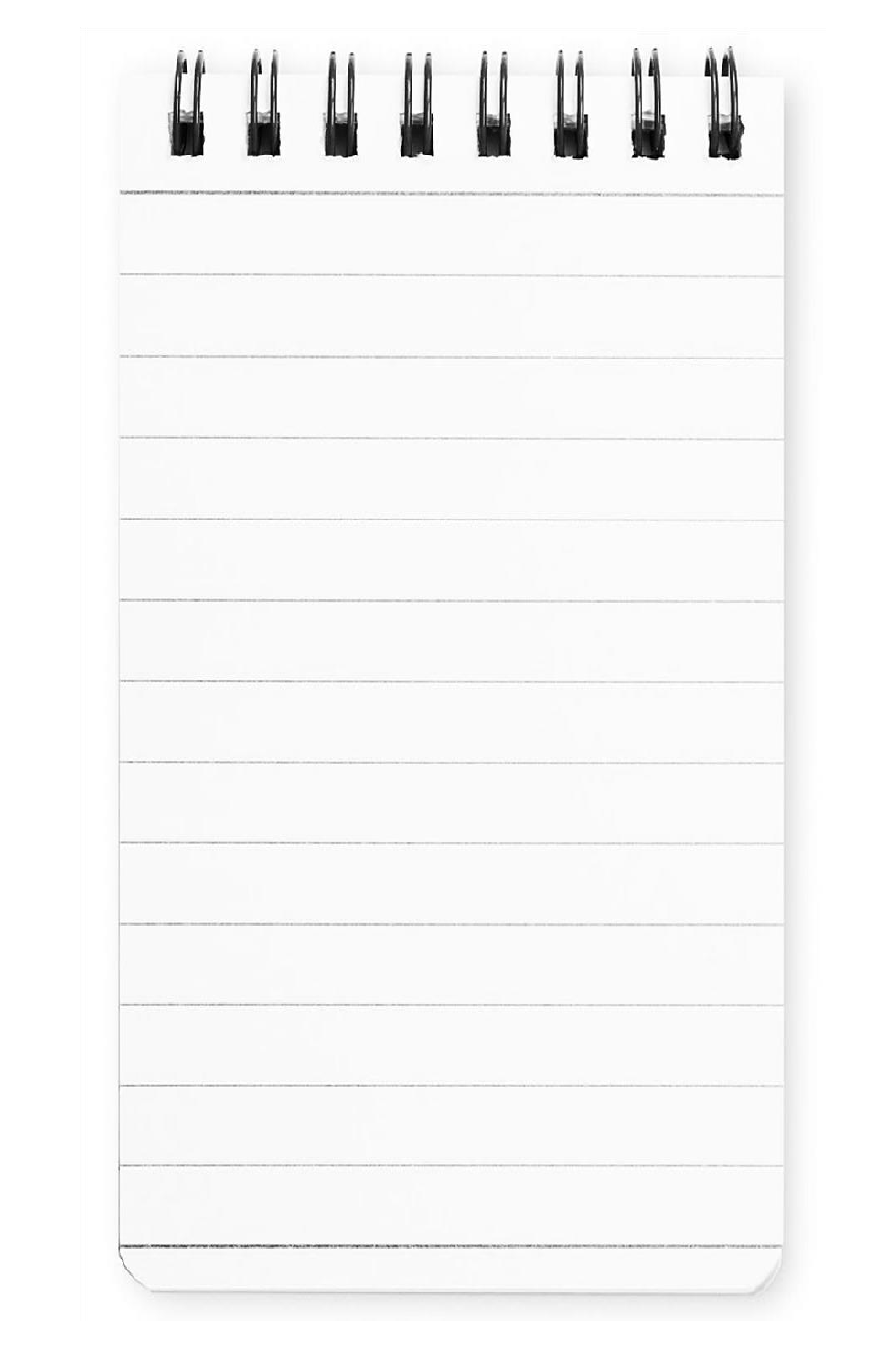|  |  |  | $\mathbf{1}$ | $\begin{picture}(20,20) \put(0,0){\line(1,0){155}} \put(15,0){\line(1,0){155}} \put(15,0){\line(1,0){155}} \put(15,0){\line(1,0){155}} \put(15,0){\line(1,0){155}} \put(15,0){\line(1,0){155}} \put(15,0){\line(1,0){155}} \put(15,0){\line(1,0){155}} \put(15,0){\line(1,0){155}} \put(15,0){\line(1,0){155}} \put(15,0){\line(1,0){155}} \$ |
|--|--|--|--------------|-----------------------------------------------------------------------------------------------------------------------------------------------------------------------------------------------------------------------------------------------------------------------------------------------------------------------------------------------|
|  |  |  |              |                                                                                                                                                                                                                                                                                                                                               |
|  |  |  |              |                                                                                                                                                                                                                                                                                                                                               |
|  |  |  |              |                                                                                                                                                                                                                                                                                                                                               |
|  |  |  |              |                                                                                                                                                                                                                                                                                                                                               |
|  |  |  |              |                                                                                                                                                                                                                                                                                                                                               |
|  |  |  |              |                                                                                                                                                                                                                                                                                                                                               |
|  |  |  |              |                                                                                                                                                                                                                                                                                                                                               |
|  |  |  |              |                                                                                                                                                                                                                                                                                                                                               |
|  |  |  |              |                                                                                                                                                                                                                                                                                                                                               |
|  |  |  |              |                                                                                                                                                                                                                                                                                                                                               |